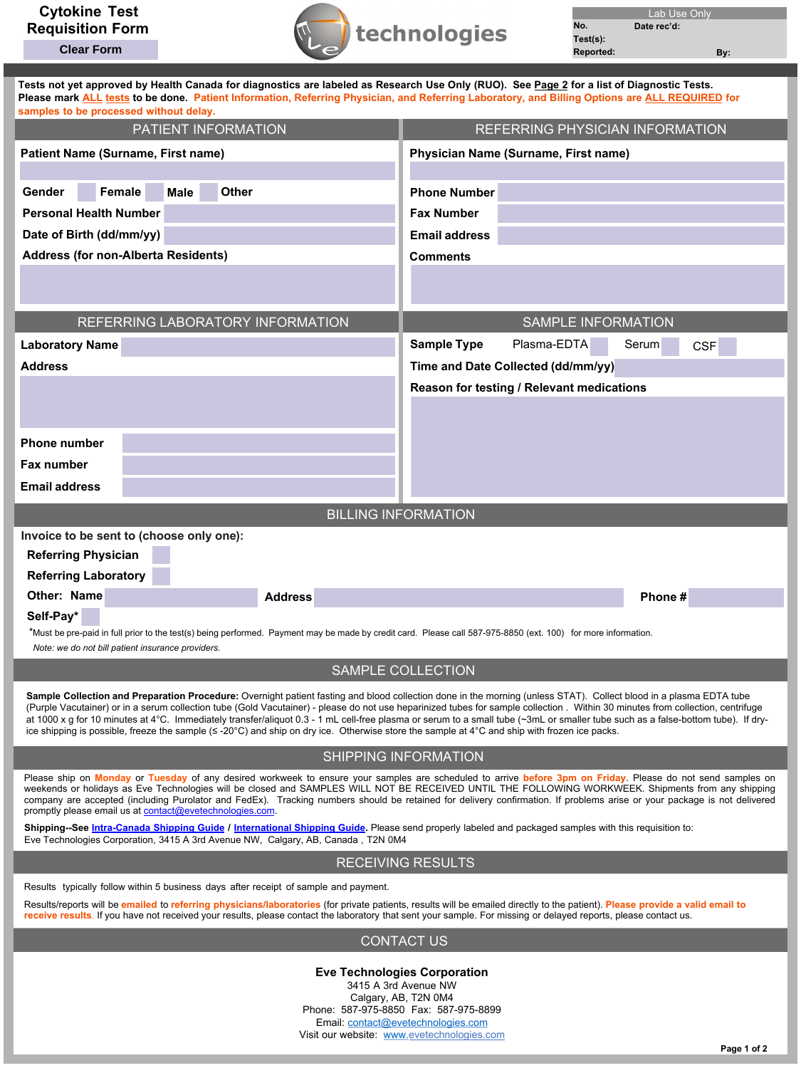**Clear Form**



| Tests not yet approved by Health Canada for diagnostics are labeled as Research Use Only (RUO). See Page 2 for a list of Diagnostic Tests.<br>Please mark ALL tests to be done. Patient Information, Referring Physician, and Referring Laboratory, and Billing Options are ALL REQUIRED for<br>samples to be processed without delay. |                                                                                                                                                                                                                                                                                                                                                                                                                                                                                                                                          |
|----------------------------------------------------------------------------------------------------------------------------------------------------------------------------------------------------------------------------------------------------------------------------------------------------------------------------------------|------------------------------------------------------------------------------------------------------------------------------------------------------------------------------------------------------------------------------------------------------------------------------------------------------------------------------------------------------------------------------------------------------------------------------------------------------------------------------------------------------------------------------------------|
| PATIENT INFORMATION                                                                                                                                                                                                                                                                                                                    | REFERRING PHYSICIAN INFORMATION                                                                                                                                                                                                                                                                                                                                                                                                                                                                                                          |
| Patient Name (Surname, First name)                                                                                                                                                                                                                                                                                                     | Physician Name (Surname, First name)                                                                                                                                                                                                                                                                                                                                                                                                                                                                                                     |
| Female<br>Other<br>Gender<br>Male                                                                                                                                                                                                                                                                                                      | <b>Phone Number</b>                                                                                                                                                                                                                                                                                                                                                                                                                                                                                                                      |
| <b>Personal Health Number</b>                                                                                                                                                                                                                                                                                                          | <b>Fax Number</b>                                                                                                                                                                                                                                                                                                                                                                                                                                                                                                                        |
| Date of Birth (dd/mm/yy)                                                                                                                                                                                                                                                                                                               | <b>Email address</b>                                                                                                                                                                                                                                                                                                                                                                                                                                                                                                                     |
| <b>Address (for non-Alberta Residents)</b>                                                                                                                                                                                                                                                                                             | <b>Comments</b>                                                                                                                                                                                                                                                                                                                                                                                                                                                                                                                          |
|                                                                                                                                                                                                                                                                                                                                        |                                                                                                                                                                                                                                                                                                                                                                                                                                                                                                                                          |
| REFERRING LABORATORY INFORMATION                                                                                                                                                                                                                                                                                                       | <b>SAMPLE INFORMATION</b>                                                                                                                                                                                                                                                                                                                                                                                                                                                                                                                |
| <b>Laboratory Name</b>                                                                                                                                                                                                                                                                                                                 | <b>Sample Type</b><br>Plasma-EDTA<br>Serum<br><b>CSF</b>                                                                                                                                                                                                                                                                                                                                                                                                                                                                                 |
| <b>Address</b>                                                                                                                                                                                                                                                                                                                         | Time and Date Collected (dd/mm/yy)                                                                                                                                                                                                                                                                                                                                                                                                                                                                                                       |
|                                                                                                                                                                                                                                                                                                                                        | Reason for testing / Relevant medications                                                                                                                                                                                                                                                                                                                                                                                                                                                                                                |
|                                                                                                                                                                                                                                                                                                                                        |                                                                                                                                                                                                                                                                                                                                                                                                                                                                                                                                          |
|                                                                                                                                                                                                                                                                                                                                        |                                                                                                                                                                                                                                                                                                                                                                                                                                                                                                                                          |
| <b>Phone number</b>                                                                                                                                                                                                                                                                                                                    |                                                                                                                                                                                                                                                                                                                                                                                                                                                                                                                                          |
| <b>Fax number</b>                                                                                                                                                                                                                                                                                                                      |                                                                                                                                                                                                                                                                                                                                                                                                                                                                                                                                          |
| <b>Email address</b>                                                                                                                                                                                                                                                                                                                   |                                                                                                                                                                                                                                                                                                                                                                                                                                                                                                                                          |
| <b>BILLING INFORMATION</b>                                                                                                                                                                                                                                                                                                             |                                                                                                                                                                                                                                                                                                                                                                                                                                                                                                                                          |
|                                                                                                                                                                                                                                                                                                                                        |                                                                                                                                                                                                                                                                                                                                                                                                                                                                                                                                          |
| Invoice to be sent to (choose only one):                                                                                                                                                                                                                                                                                               |                                                                                                                                                                                                                                                                                                                                                                                                                                                                                                                                          |
| <b>Referring Physician</b>                                                                                                                                                                                                                                                                                                             |                                                                                                                                                                                                                                                                                                                                                                                                                                                                                                                                          |
| <b>Referring Laboratory</b>                                                                                                                                                                                                                                                                                                            |                                                                                                                                                                                                                                                                                                                                                                                                                                                                                                                                          |
| Other: Name<br><b>Address</b>                                                                                                                                                                                                                                                                                                          | Phone#                                                                                                                                                                                                                                                                                                                                                                                                                                                                                                                                   |
| Self-Pay*<br>*Must be pre-paid in full prior to the test(s) being performed. Payment may be made by credit card. Please call 587-975-8850 (ext. 100) for more information.                                                                                                                                                             |                                                                                                                                                                                                                                                                                                                                                                                                                                                                                                                                          |
| Note: we do not bill patient insurance providers.                                                                                                                                                                                                                                                                                      |                                                                                                                                                                                                                                                                                                                                                                                                                                                                                                                                          |
|                                                                                                                                                                                                                                                                                                                                        | SAMPLE COLLECTION                                                                                                                                                                                                                                                                                                                                                                                                                                                                                                                        |
| ice shipping is possible, freeze the sample (≤ -20°C) and ship on dry ice. Otherwise store the sample at 4°C and ship with frozen ice packs.                                                                                                                                                                                           | Sample Collection and Preparation Procedure: Overnight patient fasting and blood collection done in the morning (unless STAT). Collect blood in a plasma EDTA tube<br>(Purple Vacutainer) or in a serum collection tube (Gold Vacutainer) - please do not use heparinized tubes for sample collection. Within 30 minutes from collection, centrifuge<br>at 1000 x q for 10 minutes at 4°C. Immediately transfer/aliquot 0.3 - 1 mL cell-free plasma or serum to a small tube (~3mL or smaller tube such as a false-bottom tube). If dry- |
|                                                                                                                                                                                                                                                                                                                                        | SHIPPING INFORMATION                                                                                                                                                                                                                                                                                                                                                                                                                                                                                                                     |
| promptly please email us at contact@evetechnologies.com.                                                                                                                                                                                                                                                                               | Please ship on Monday or Tuesday of any desired workweek to ensure your samples are scheduled to arrive before 3pm on Friday. Please do not send samples on<br>weekends or holidays as Eve Technologies will be closed and SAMPLES WILL NOT BE RECEIVED UNTIL THE FOLLOWING WORKWEEK. Shipments from any shipping<br>company are accepted (including Purolator and FedEx). Tracking numbers should be retained for delivery confirmation. If problems arise or your package is not delivered                                             |
| Shipping-See Intra-Canada Shipping Guide / International Shipping Guide. Please send properly labeled and packaged samples with this requisition to:<br>Eve Technologies Corporation, 3415 A 3rd Avenue NW, Calgary, AB, Canada, T2N 0M4                                                                                               |                                                                                                                                                                                                                                                                                                                                                                                                                                                                                                                                          |
|                                                                                                                                                                                                                                                                                                                                        | <b>RECEIVING RESULTS</b>                                                                                                                                                                                                                                                                                                                                                                                                                                                                                                                 |
| Results typically follow within 5 business days after receipt of sample and payment.                                                                                                                                                                                                                                                   |                                                                                                                                                                                                                                                                                                                                                                                                                                                                                                                                          |
| receive results. If you have not received your results, please contact the laboratory that sent your sample. For missing or delayed reports, please contact us.                                                                                                                                                                        | Results/reports will be emailed to referring physicians/laboratories (for private patients, results will be emailed directly to the patient). Please provide a valid email to                                                                                                                                                                                                                                                                                                                                                            |
|                                                                                                                                                                                                                                                                                                                                        | <b>CONTACT US</b>                                                                                                                                                                                                                                                                                                                                                                                                                                                                                                                        |

**Eve Technologies Corporation**  3415 A 3rd Avenue NW Calgary, AB, T2N 0M4 Phone: 587-975-8850 Fax: 587-975-8899 Email: contact@evetechnologies.com Visit our website: www.evetechnologies.com